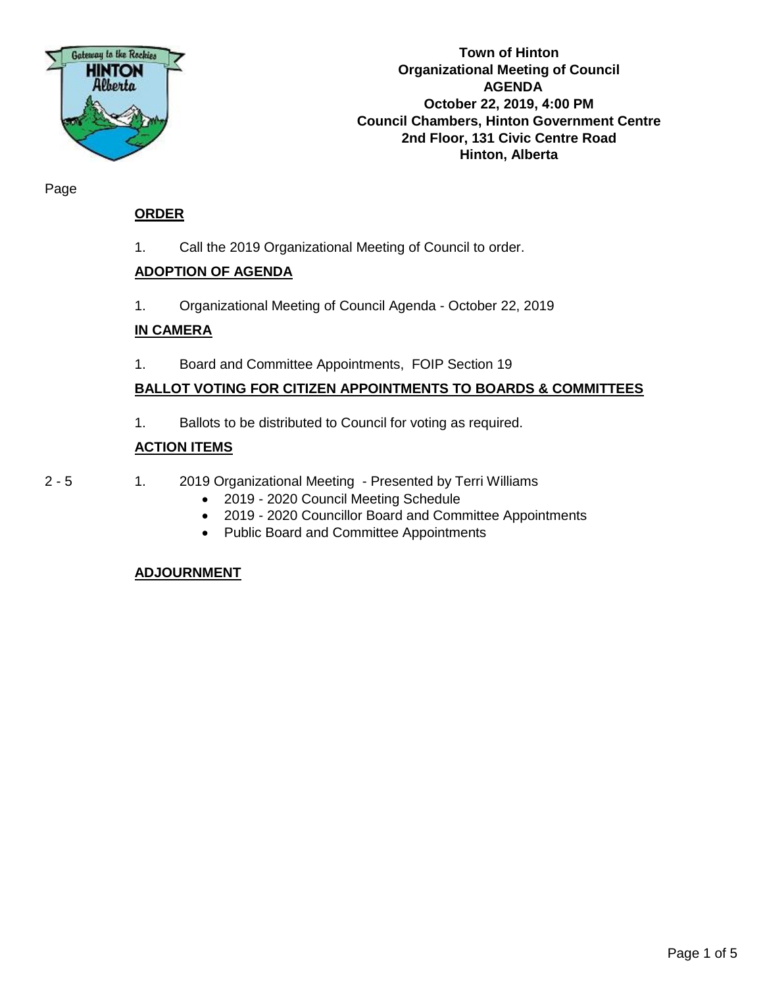

**Town of Hinton Organizational Meeting of Council AGENDA October 22, 2019, 4:00 PM Council Chambers, Hinton Government Centre 2nd Floor, 131 Civic Centre Road Hinton, Alberta**

Page

#### **ORDER**

1. Call the 2019 Organizational Meeting of Council to order.

#### **ADOPTION OF AGENDA**

1. Organizational Meeting of Council Agenda - October 22, 2019

#### **IN CAMERA**

1. Board and Committee Appointments, FOIP Section 19

#### **BALLOT VOTING FOR CITIZEN APPOINTMENTS TO BOARDS & COMMITTEES**

1. Ballots to be distributed to Council for voting as required.

#### **ACTION ITEMS**

- 
- 2 5 1. 2019 Organizational Meeting Presented by Terri Williams
	- 2019 2020 Council Meeting Schedule
	- 2019 2020 Councillor Board and Committee Appointments
	- Public Board and Committee Appointments

#### **ADJOURNMENT**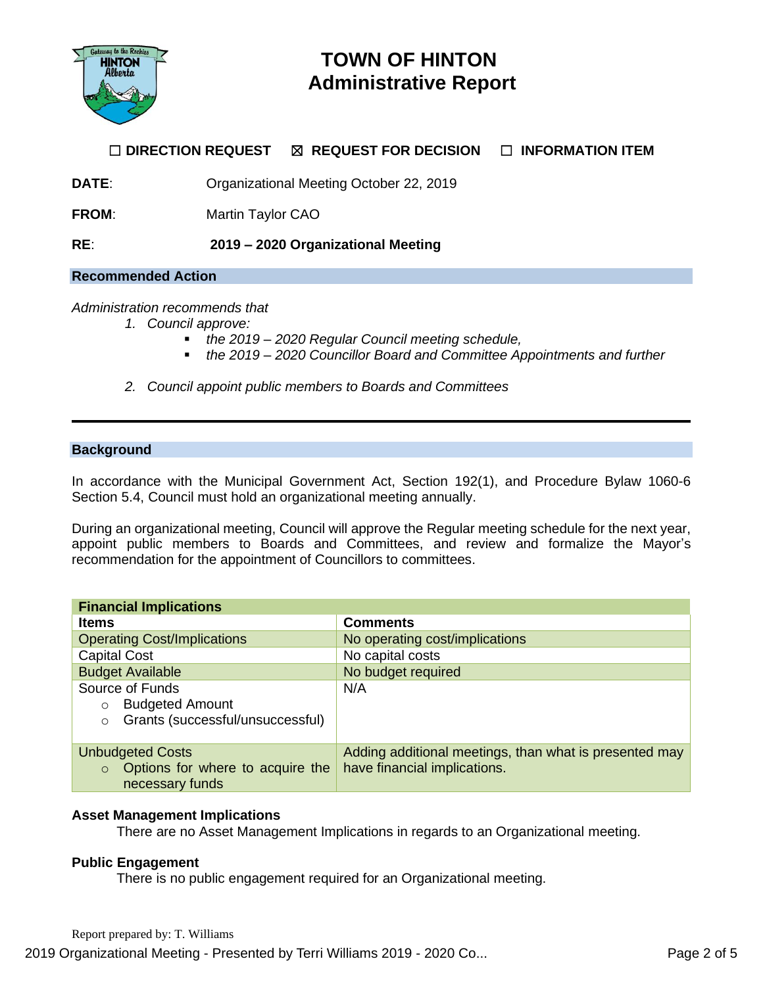

### **TOWN OF HINTON Administrative Report**

#### ☐ **DIRECTION REQUEST** ☒ **REQUEST FOR DECISION** ☐ **INFORMATION ITEM**

**DATE**: Organizational Meeting October 22, 2019

**FROM:** Martin Taylor CAO

**RE**: **2019 – 2020 Organizational Meeting**

#### **Recommended Action**

*Administration recommends that*

- *1. Council approve:*
	- *the 2019 – 2020 Regular Council meeting schedule,*
	- *the 2019 – 2020 Councillor Board and Committee Appointments and further*
- *2. Council appoint public members to Boards and Committees*

#### **Background**

In accordance with the Municipal Government Act, Section 192(1), and Procedure Bylaw 1060-6 Section 5.4, Council must hold an organizational meeting annually.

During an organizational meeting, Council will approve the Regular meeting schedule for the next year, appoint public members to Boards and Committees, and review and formalize the Mayor's recommendation for the appointment of Councillors to committees.

| <b>Financial Implications</b>                                                                       |                                                                                        |
|-----------------------------------------------------------------------------------------------------|----------------------------------------------------------------------------------------|
| <b>Items</b>                                                                                        | <b>Comments</b>                                                                        |
| <b>Operating Cost/Implications</b>                                                                  | No operating cost/implications                                                         |
| <b>Capital Cost</b>                                                                                 | No capital costs                                                                       |
| <b>Budget Available</b>                                                                             | No budget required                                                                     |
| Source of Funds<br><b>Budgeted Amount</b><br>$\circ$<br>Grants (successful/unsuccessful)<br>$\circ$ | N/A                                                                                    |
| <b>Unbudgeted Costs</b><br>Options for where to acquire the<br>$\circ$<br>necessary funds           | Adding additional meetings, than what is presented may<br>have financial implications. |

#### **Asset Management Implications**

There are no Asset Management Implications in regards to an Organizational meeting.

#### **Public Engagement**

There is no public engagement required for an Organizational meeting.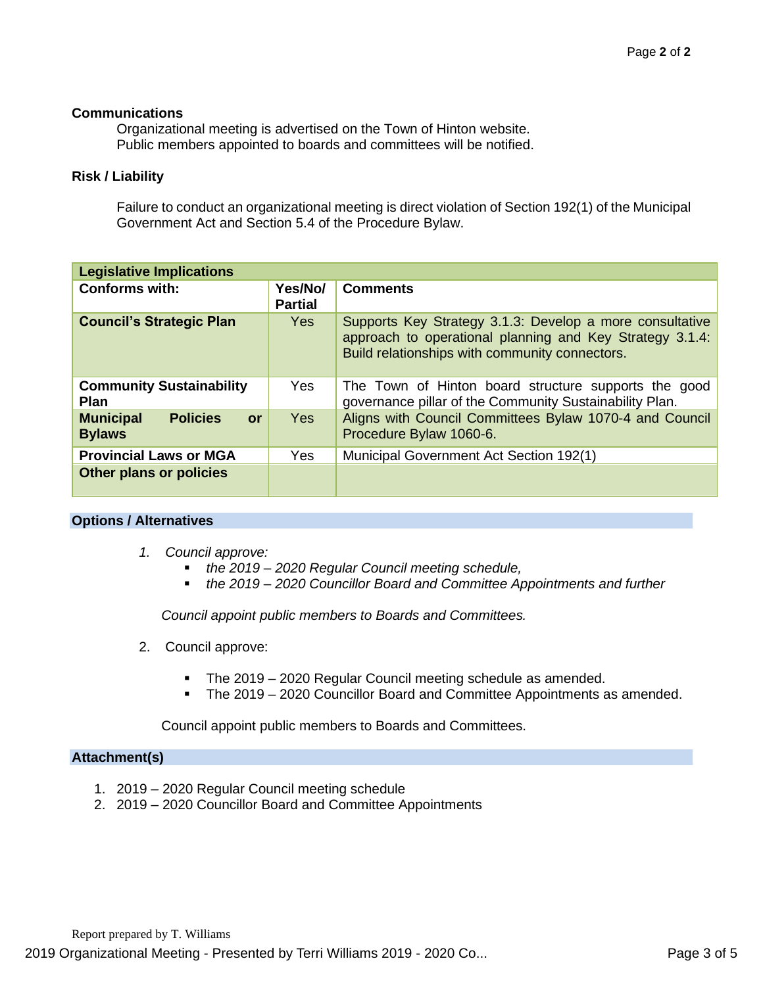#### **Communications**

Organizational meeting is advertised on the Town of Hinton website. Public members appointed to boards and committees will be notified.

#### **Risk / Liability**

Failure to conduct an organizational meeting is direct violation of Section 192(1) of the Municipal Government Act and Section 5.4 of the Procedure Bylaw.

| <b>Legislative Implications</b>                            |                           |                                                                                                                                                                        |
|------------------------------------------------------------|---------------------------|------------------------------------------------------------------------------------------------------------------------------------------------------------------------|
| <b>Conforms with:</b>                                      | Yes/No/<br><b>Partial</b> | <b>Comments</b>                                                                                                                                                        |
| <b>Council's Strategic Plan</b>                            | <b>Yes</b>                | Supports Key Strategy 3.1.3: Develop a more consultative<br>approach to operational planning and Key Strategy 3.1.4:<br>Build relationships with community connectors. |
| <b>Community Sustainability</b><br><b>Plan</b>             | <b>Yes</b>                | The Town of Hinton board structure supports the good<br>governance pillar of the Community Sustainability Plan.                                                        |
| <b>Policies</b><br><b>Municipal</b><br>or<br><b>Bylaws</b> | <b>Yes</b>                | Aligns with Council Committees Bylaw 1070-4 and Council<br>Procedure Bylaw 1060-6.                                                                                     |
| <b>Provincial Laws or MGA</b>                              | <b>Yes</b>                | Municipal Government Act Section 192(1)                                                                                                                                |
| <b>Other plans or policies</b>                             |                           |                                                                                                                                                                        |

#### **Options / Alternatives**

- *1. Council approve:*
	- *the 2019 – 2020 Regular Council meeting schedule,*
	- *the 2019 2020 Councillor Board and Committee Appointments and further*

*Council appoint public members to Boards and Committees.*

- 2. Council approve:
	- The 2019 2020 Regular Council meeting schedule as amended.
	- **The 2019 2020 Councillor Board and Committee Appointments as amended.**

Council appoint public members to Boards and Committees.

#### **Attachment(s)**

- 1. 2019 2020 Regular Council meeting schedule
- 2. 2019 2020 Councillor Board and Committee Appointments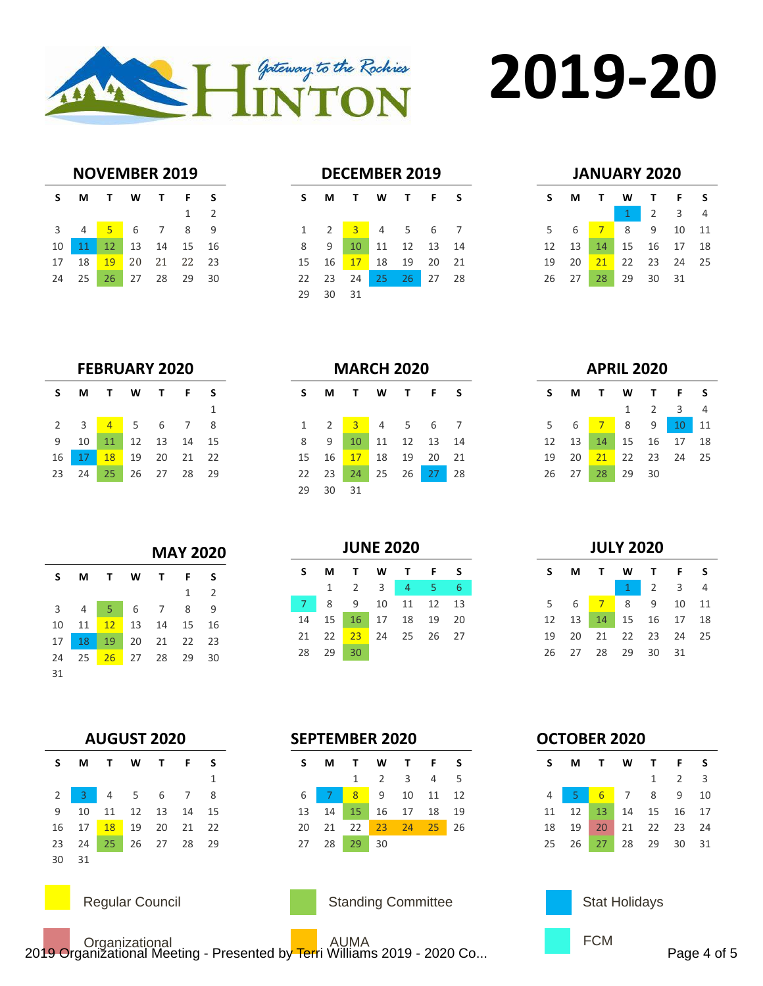

**2019-20**

#### **NOVEMBER 2019**

|  | S M T W T F S              |  |             |  |
|--|----------------------------|--|-------------|--|
|  |                            |  | $1 \quad 2$ |  |
|  | 3 4 <mark>5</mark> 6 7 8 9 |  |             |  |
|  | 10 11 12 13 14 15 16       |  |             |  |
|  | 17 18 19 20 21 22 23       |  |             |  |
|  | 24  25  26  27  28  29  30 |  |             |  |

### **DECEMBER 2019**

|          |  | S M T W T F S              |  |
|----------|--|----------------------------|--|
|          |  |                            |  |
|          |  | 1 2 3 4 5 6 7              |  |
|          |  | 8 9 10 11 12 13 14         |  |
|          |  | 15  16  17  18  19  20  21 |  |
|          |  | 22 23 24 25 26 27 28       |  |
| 29 30 31 |  |                            |  |

#### **JANUARY 2020**

| S. | MTWTFS                           |  |                             |  |
|----|----------------------------------|--|-----------------------------|--|
|    |                                  |  | $1 \quad 2 \quad 3 \quad 4$ |  |
|    | 5  6 <mark>7</mark> 8  9  10  11 |  |                             |  |
|    | 12  13  14  15  16  17  18       |  |                             |  |
|    | 19 20 21 22 23 24 25             |  |                             |  |
|    | 26 27 28 29 30 31                |  |                             |  |

**APRIL 2020**

#### **FEBRUARY 2020**

| S. | M T W T F S          |  |  |   |
|----|----------------------|--|--|---|
|    |                      |  |  | 1 |
|    | 2 3 4 5 6 7 8        |  |  |   |
|    | 9 10 11 12 13 14 15  |  |  |   |
|    | 16 17 18 19 20 21 22 |  |  |   |
|    | 23 24 25 26 27 28 29 |  |  |   |

## **MAY 2020 S M T W T F S** 2

|    | 3 4 5 6 7 8 9              |  |  |  |
|----|----------------------------|--|--|--|
|    | 10 11 12 13 14 15 16       |  |  |  |
|    | 17 18 19 20 21 22 23       |  |  |  |
|    | 24  25  26  27  28  29  30 |  |  |  |
| 31 |                            |  |  |  |

#### **AUGUST 2020**

| S.             | M T W T F S                |  |   |
|----------------|----------------------------|--|---|
|                |                            |  | 1 |
| 2 <sup>1</sup> | 3 4 5 6 7 8                |  |   |
| 9              | 10 11 12 13 14 15          |  |   |
|                | 16  17  18  19  20  21  22 |  |   |
|                | 23 24 25 26 27 28 29       |  |   |
| 30 31          |                            |  |   |



|              | <b>MARCH 2020</b> |                        |    |             |       |                |  |  |  |  |  |
|--------------|-------------------|------------------------|----|-------------|-------|----------------|--|--|--|--|--|
| <sub>S</sub> | м                 | $\mathbf{T}$           |    | W T F       |       | S.             |  |  |  |  |  |
| $\mathbf{1}$ | $\overline{2}$    |                        |    | 3 4 5 6     |       | $\overline{7}$ |  |  |  |  |  |
| 8            | 9                 | $10-1$                 |    | 11 12 13    |       | 14             |  |  |  |  |  |
| 15           | 16                | 17 <sup>2</sup>        | 18 |             | 19 20 | 21             |  |  |  |  |  |
|              |                   | $22 \quad 23 \quad 24$ |    | 25 26 27 28 |       |                |  |  |  |  |  |

# **MARCH 2020**

|   |  | S M T W T F S              |                             |  |
|---|--|----------------------------|-----------------------------|--|
|   |  |                            | $1 \quad 2 \quad 3 \quad 4$ |  |
|   |  | 5 6 7 8 9 10 11            |                             |  |
| 4 |  | 12  13  14  15  16  17  18 |                             |  |
|   |  | 19 20 21 22 23 24 25       |                             |  |
| 8 |  | 26 27 28 29 30             |                             |  |
|   |  |                            |                             |  |

**JUNE 2020**

30 31

| S. | M     |      | T W T F                    |  |  |
|----|-------|------|----------------------------|--|--|
|    | 1     |      | 2 3 4 5 6                  |  |  |
|    |       |      | 7 8 9 10 11 12 13          |  |  |
|    |       |      | 14  15  16  17  18  19  20 |  |  |
|    |       |      | 21 22 23 24 25 26 27       |  |  |
|    | 28 29 | - 30 |                            |  |  |

| <b>JULY 2020</b> |    |    |              |       |    |    |  |  |  |  |
|------------------|----|----|--------------|-------|----|----|--|--|--|--|
| s                | м  | т  | W            | т.    | F  | S  |  |  |  |  |
|                  |    |    | $\mathbf{1}$ | 2     | 3  | 4  |  |  |  |  |
| 5                | 6  | -7 | 8            | 9     | 10 | 11 |  |  |  |  |
| 12               | 13 | 14 | 15           | 16    | 17 | 18 |  |  |  |  |
| 19               | 20 | 21 |              | 22 23 | 24 | 25 |  |  |  |  |
| 26               | 27 | 28 | 29           | 30    | 31 |    |  |  |  |  |

#### **SEPTEMBER 2020**

|  | S M T W T F S              |                     |  |  |  |
|--|----------------------------|---------------------|--|--|--|
|  |                            | $1 \t2 \t3 \t4 \t5$ |  |  |  |
|  | 6 7 8 9 10 11 12           |                     |  |  |  |
|  | 13  14  15  16  17  18  19 |                     |  |  |  |
|  | 20 21 22 23 24 25 26       |                     |  |  |  |
|  | 27 28 29 30                |                     |  |  |  |



#### **OCTOBER 2020**

| S. | MTWTFS                     |  |                     |  |
|----|----------------------------|--|---------------------|--|
|    |                            |  | $1 \quad 2 \quad 3$ |  |
|    | 4 5 6 7 8 9 10             |  |                     |  |
|    | 11 12 13 14 15 16 17       |  |                     |  |
|    | 18  19  20  21  22  23  24 |  |                     |  |
|    | 25  26  27  28  29  30  31 |  |                     |  |
|    |                            |  |                     |  |



Organizational AUMA FCM 2019 Organizational Meeting - Presented by Terri Williams 2019 - 2020 Co... Page 4 of 5